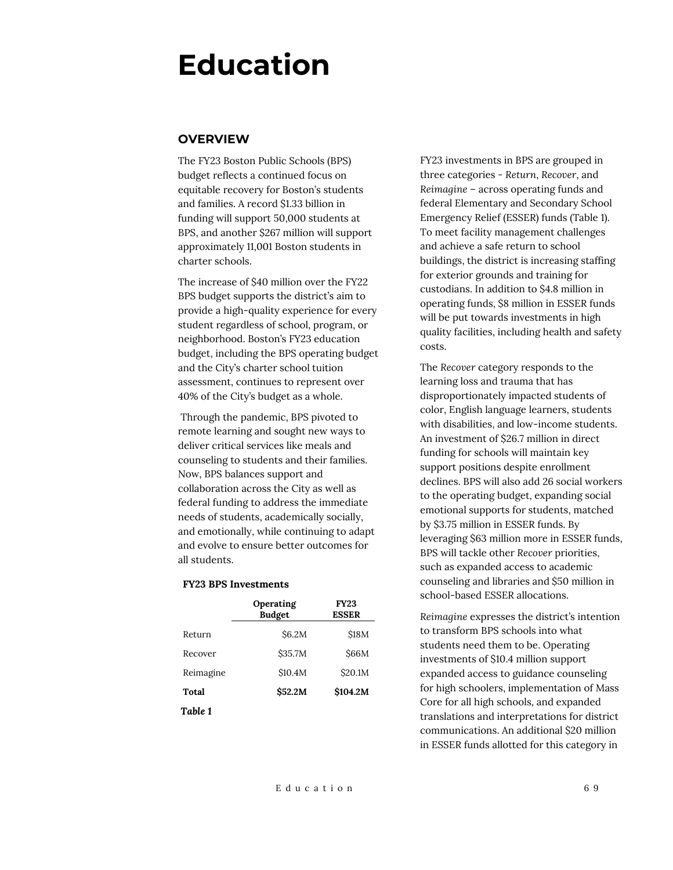# **Education**

## **OVERVIEW**

The FY23 Boston Public Schools (BPS) budget reflects a continued focus on equitable recovery for Boston's students and families. A record \$1.33 billion in funding will support 50,000 students at BPS, and another \$267 million will support approximately 11,001 Boston students in charter schools.

The increase of \$40 million over the FY22 BPS budget supports the district's aim to provide a high-quality experience for every student regardless of school, program, or neighborhood. Boston's FY23 education budget, including the BPS operating budget and the City's charter school tuition assessment, continues to represent over 40% of the City's budget as a whole.

Through the pandemic, BPS pivoted to remote learning and sought new ways to deliver critical services like meals and counseling to students and their families. Now, BPS balances support and collaboration across the City as well as federal funding to address the immediate needs of students, academically socially, and emotionally, while continuing to adapt and evolve to ensure better outcomes for all students.

#### **FY23 BPS Investments**

|           | Operating<br><b>Budget</b> | <b>FY23</b><br><b>ESSER</b> |
|-----------|----------------------------|-----------------------------|
| Return    | \$6.2M                     | <b>\$18M</b>                |
| Recover   | \$35.7M                    | <b>S66M</b>                 |
| Reimagine | \$10.4M                    | \$20.1M                     |
| Total     | \$52.2M                    | \$104.2M                    |
| Table 1   |                            |                             |

FY23 investments in BPS are grouped in three categories - *Return*, *Recover*, and *Reimagine* – across operating funds and federal Elementary and Secondary School Emergency Relief (ESSER) funds (Table 1). To meet facility management challenges and achieve a safe return to school buildings, the district is increasing staffing for exterior grounds and training for custodians. In addition to \$4.8 million in operating funds, \$8 million in ESSER funds will be put towards investments in high quality facilities, including health and safety costs.

The *Recover* category responds to the learning loss and trauma that has disproportionately impacted students of color, English language learners, students with disabilities, and low-income students. An investment of \$26.7 million in direct funding for schools will maintain key support positions despite enrollment declines. BPS will also add 26 social workers to the operating budget, expanding social emotional supports for students, matched by \$3.75 million in ESSER funds. By leveraging \$63 million more in ESSER funds, BPS will tackle other *Recover* priorities, such as expanded access to academic counseling and libraries and \$50 million in school-based ESSER allocations.

*Reimagine* expresses the district's intention to transform BPS schools into what students need them to be. Operating investments of \$10.4 million support expanded access to guidance counseling for high schoolers, implementation of Mass Core for all high schools, and expanded translations and interpretations for district communications. An additional \$20 million in ESSER funds allotted for this category in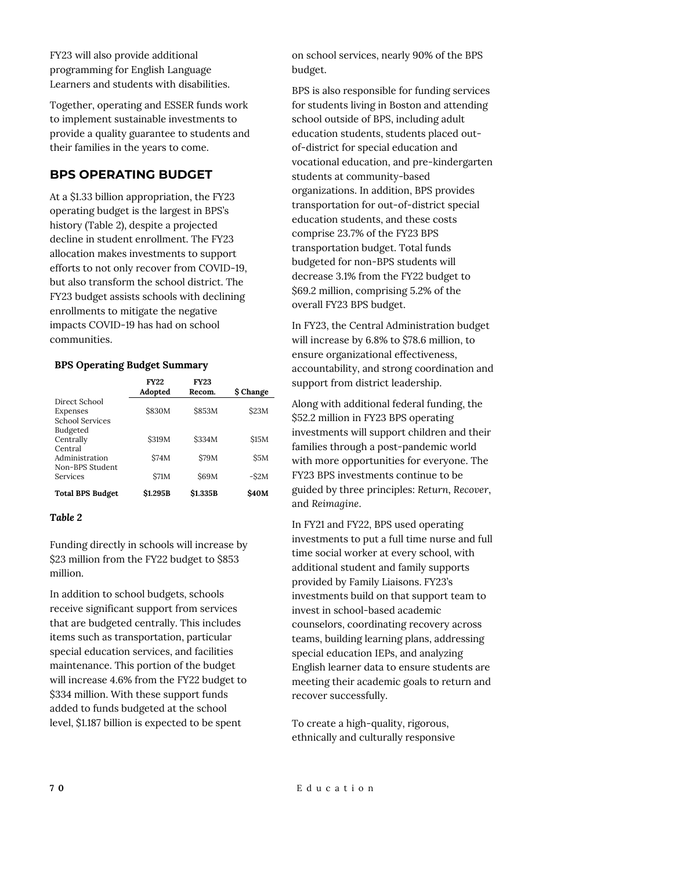FY23 will also provide additional programming for English Language Learners and students with disabilities.

Together, operating and ESSER funds work to implement sustainable investments to provide a quality guarantee to students and their families in the years to come.

# **BPS OPERATING BUDGET**

At a \$1.33 billion appropriation, the FY23 operating budget is the largest in BPS's history (Table 2), despite a projected decline in student enrollment. The FY23 allocation makes investments to support efforts to not only recover from COVID-19, but also transform the school district. The FY23 budget assists schools with declining enrollments to mitigate the negative impacts COVID-19 has had on school communities.

### **BPS Operating Budget Summary**

|                                    | <b>FY22</b><br>Adopted | <b>FY23</b><br>Recom. | \$ Change    |
|------------------------------------|------------------------|-----------------------|--------------|
| Direct School                      | <b>\$830M</b>          | <b>\$853M</b>         | <b>S23M</b>  |
| Expenses<br><b>School Services</b> |                        |                       |              |
| Budgeted                           |                        |                       |              |
| Centrally                          | <b>S319M</b>           | <b>\$334M</b>         | \$15M        |
| Central                            |                        |                       |              |
| Administration                     | S74M                   | <b>S79M</b>           | \$5M         |
| Non-BPS Student                    |                        |                       |              |
| Services                           | \$71M                  | S69M                  | $-S2M$       |
| <b>Total BPS Budget</b>            | <b>\$1.295B</b>        | \$1.335B              | <b>\$40M</b> |

#### *Table 2*

Funding directly in schools will increase by \$23 million from the FY22 budget to \$853 million.

In addition to school budgets, schools receive significant support from services that are budgeted centrally. This includes items such as transportation, particular special education services, and facilities maintenance. This portion of the budget will increase 4.6% from the FY22 budget to \$334 million. With these support funds added to funds budgeted at the school level, \$1.187 billion is expected to be spent

on school services, nearly 90% of the BPS budget.

BPS is also responsible for funding services for students living in Boston and attending school outside of BPS, including adult education students, students placed outof-district for special education and vocational education, and pre-kindergarten students at community-based organizations. In addition, BPS provides transportation for out-of-district special education students, and these costs comprise 23.7% of the FY23 BPS transportation budget. Total funds budgeted for non-BPS students will decrease 3.1% from the FY22 budget to \$69.2 million, comprising 5.2% of the overall FY23 BPS budget.

In FY23, the Central Administration budget will increase by 6.8% to \$78.6 million, to ensure organizational effectiveness, accountability, and strong coordination and support from district leadership.

Along with additional federal funding, the \$52.2 million in FY23 BPS operating investments will support children and their families through a post-pandemic world with more opportunities for everyone. The FY23 BPS investments continue to be guided by three principles: *Return*, *Recover*, and *Reimagine*.

In FY21 and FY22, BPS used operating investments to put a full time nurse and full time social worker at every school, with additional student and family supports provided by Family Liaisons. FY23's investments build on that support team to invest in school-based academic counselors, coordinating recovery across teams, building learning plans, addressing special education IEPs, and analyzing English learner data to ensure students are meeting their academic goals to return and recover successfully.

To create a high-quality, rigorous, ethnically and culturally responsive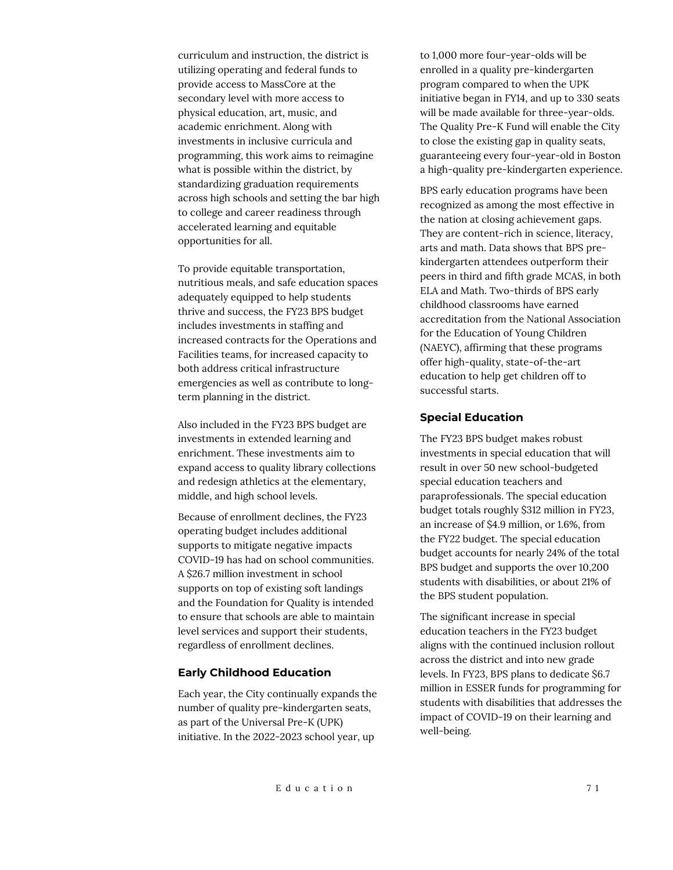curriculum and instruction, the district is utilizing operating and federal funds to provide access to MassCore at the secondary level with more access to physical education, art, music, and academic enrichment. Along with investments in inclusive curricula and programming, this work aims to reimagine what is possible within the district, by standardizing graduation requirements across high schools and setting the bar high to college and career readiness through accelerated learning and equitable opportunities for all.

To provide equitable transportation, nutritious meals, and safe education spaces adequately equipped to help students thrive and success, the FY23 BPS budget includes investments in staffing and increased contracts for the Operations and Facilities teams, for increased capacity to both address critical infrastructure emergencies as well as contribute to longterm planning in the district.

Also included in the FY23 BPS budget are investments in extended learning and enrichment. These investments aim to expand access to quality library collections and redesign athletics at the elementary, middle, and high school levels.

Because of enrollment declines, the FY23 operating budget includes additional supports to mitigate negative impacts COVID-19 has had on school communities. A \$26.7 million investment in school supports on top of existing soft landings and the Foundation for Quality is intended to ensure that schools are able to maintain level services and support their students, regardless of enrollment declines.

#### **Early Childhood Education**

Each year, the City continually expands the number of quality pre-kindergarten seats, as part of the Universal Pre-K (UPK) initiative. In the 2022-2023 school year, up

to 1,000 more four-year-olds will be enrolled in a quality pre-kindergarten program compared to when the UPK initiative began in FY14, and up to 330 seats will be made available for three-year-olds. The Quality Pre-K Fund will enable the City to close the existing gap in quality seats, guaranteeing every four-year-old in Boston a high-quality pre-kindergarten experience.

BPS early education programs have been recognized as among the most effective in the nation at closing achievement gaps. They are content-rich in science, literacy, arts and math. Data shows that BPS prekindergarten attendees outperform their peers in third and fifth grade MCAS, in both ELA and Math. Two-thirds of BPS early childhood classrooms have earned accreditation from the National Association for the Education of Young Children (NAEYC), affirming that these programs offer high-quality, state-of-the-art education to help get children off to successful starts.

#### **Special Education**

The FY23 BPS budget makes robust investments in special education that will result in over 50 new school-budgeted special education teachers and paraprofessionals. The special education budget totals roughly \$312 million in FY23, an increase of \$4.9 million, or 1.6%, from the FY22 budget. The special education budget accounts for nearly 24% of the total BPS budget and supports the over 10,200 students with disabilities, or about 21% of the BPS student population.

The significant increase in special education teachers in the FY23 budget aligns with the continued inclusion rollout across the district and into new grade levels. In FY23, BPS plans to dedicate \$6.7 million in ESSER funds for programming for students with disabilities that addresses the impact of COVID-19 on their learning and well-being.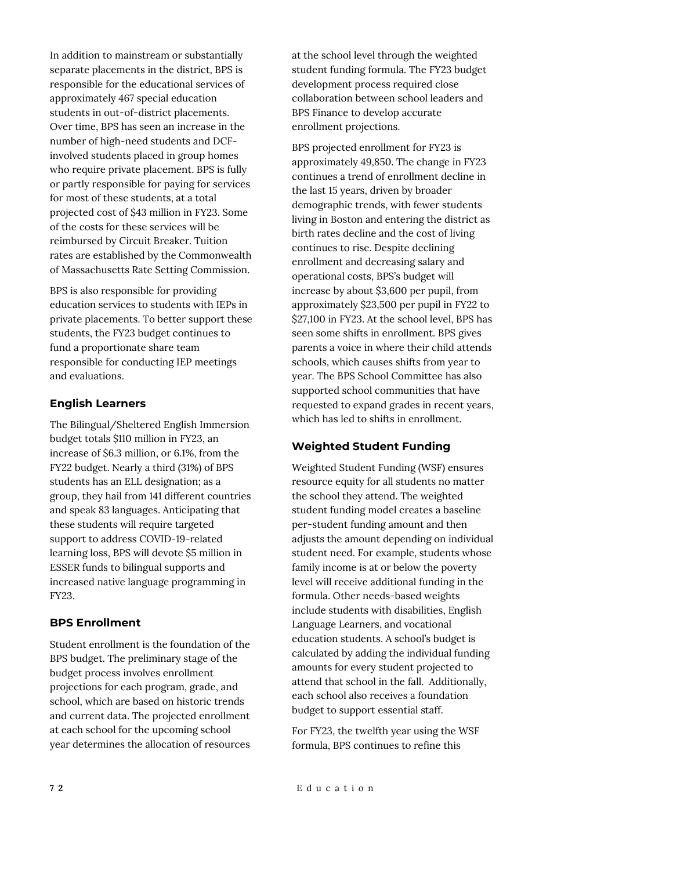In addition to mainstream or substantially separate placements in the district, BPS is responsible for the educational services of approximately 467 special education students in out-of-district placements. Over time, BPS has seen an increase in the number of high-need students and DCFinvolved students placed in group homes who require private placement. BPS is fully or partly responsible for paying for services for most of these students, at a total projected cost of \$43 million in FY23. Some of the costs for these services will be reimbursed by Circuit Breaker. Tuition rates are established by the Commonwealth of Massachusetts Rate Setting Commission.

BPS is also responsible for providing education services to students with IEPs in private placements. To better support these students, the FY23 budget continues to fund a proportionate share team responsible for conducting IEP meetings and evaluations.

### **English Learners**

The Bilingual/Sheltered English Immersion budget totals \$110 million in FY23, an increase of \$6.3 million, or 6.1%, from the FY22 budget. Nearly a third (31%) of BPS students has an ELL designation; as a group, they hail from 141 different countries and speak 83 languages. Anticipating that these students will require targeted support to address COVID-19-related learning loss, BPS will devote \$5 million in ESSER funds to bilingual supports and increased native language programming in FY23.

## **BPS Enrollment**

Student enrollment is the foundation of the BPS budget. The preliminary stage of the budget process involves enrollment projections for each program, grade, and school, which are based on historic trends and current data. The projected enrollment at each school for the upcoming school year determines the allocation of resources

at the school level through the weighted student funding formula. The FY23 budget development process required close collaboration between school leaders and BPS Finance to develop accurate enrollment projections.

BPS projected enrollment for FY23 is approximately 49,850. The change in FY23 continues a trend of enrollment decline in the last 15 years, driven by broader demographic trends, with fewer students living in Boston and entering the district as birth rates decline and the cost of living continues to rise. Despite declining enrollment and decreasing salary and operational costs, BPS's budget will increase by about \$3,600 per pupil, from approximately \$23,500 per pupil in FY22 to \$27,100 in FY23. At the school level, BPS has seen some shifts in enrollment. BPS gives parents a voice in where their child attends schools, which causes shifts from year to year. The BPS School Committee has also supported school communities that have requested to expand grades in recent years, which has led to shifts in enrollment.

## **Weighted Student Funding**

Weighted Student Funding (WSF) ensures resource equity for all students no matter the school they attend. The weighted student funding model creates a baseline per-student funding amount and then adjusts the amount depending on individual student need. For example, students whose family income is at or below the poverty level will receive additional funding in the formula. Other needs-based weights include students with disabilities, English Language Learners, and vocational education students. A school's budget is calculated by adding the individual funding amounts for every student projected to attend that school in the fall. Additionally, each school also receives a foundation budget to support essential staff.

For FY23, the twelfth year using the WSF formula, BPS continues to refine this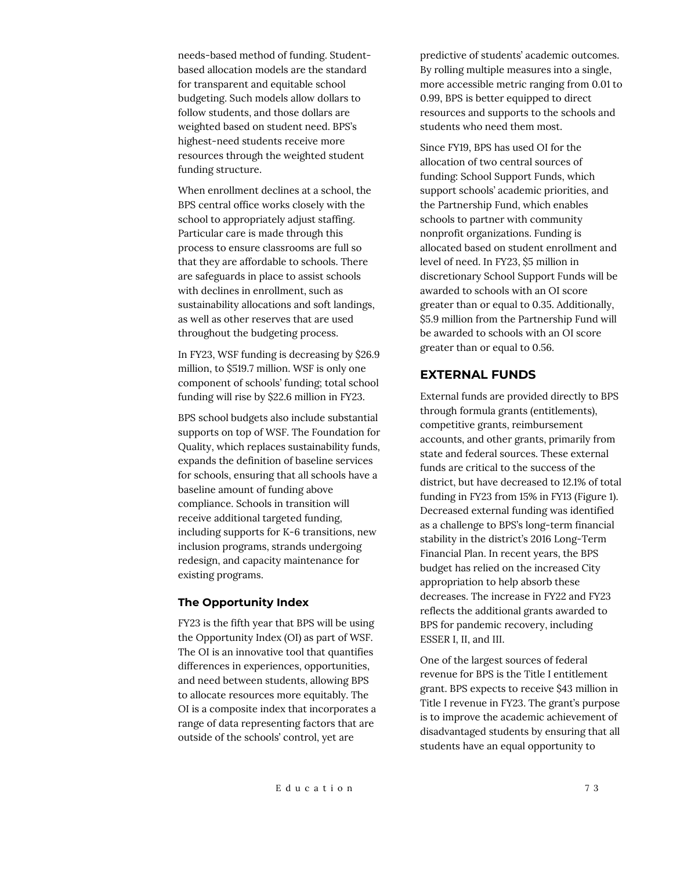needs-based method of funding. Studentbased allocation models are the standard for transparent and equitable school budgeting. Such models allow dollars to follow students, and those dollars are weighted based on student need. BPS's highest-need students receive more resources through the weighted student funding structure.

When enrollment declines at a school, the BPS central office works closely with the school to appropriately adjust staffing. Particular care is made through this process to ensure classrooms are full so that they are affordable to schools. There are safeguards in place to assist schools with declines in enrollment, such as sustainability allocations and soft landings, as well as other reserves that are used throughout the budgeting process.

In FY23, WSF funding is decreasing by \$26.9 million, to \$519.7 million. WSF is only one component of schools' funding; total school funding will rise by \$22.6 million in FY23.

BPS school budgets also include substantial supports on top of WSF. The Foundation for Quality, which replaces sustainability funds, expands the definition of baseline services for schools, ensuring that all schools have a baseline amount of funding above compliance. Schools in transition will receive additional targeted funding, including supports for K-6 transitions, new inclusion programs, strands undergoing redesign, and capacity maintenance for existing programs.

#### **The Opportunity Index**

FY23 is the fifth year that BPS will be using the Opportunity Index (OI) as part of WSF. The OI is an innovative tool that quantifies differences in experiences, opportunities, and need between students, allowing BPS to allocate resources more equitably. The OI is a composite index that incorporates a range of data representing factors that are outside of the schools' control, yet are

predictive of students' academic outcomes. By rolling multiple measures into a single, more accessible metric ranging from 0.01 to 0.99, BPS is better equipped to direct resources and supports to the schools and students who need them most.

Since FY19, BPS has used OI for the allocation of two central sources of funding: School Support Funds, which support schools' academic priorities, and the Partnership Fund, which enables schools to partner with community nonprofit organizations. Funding is allocated based on student enrollment and level of need. In FY23, \$5 million in discretionary School Support Funds will be awarded to schools with an OI score greater than or equal to 0.35. Additionally, \$5.9 million from the Partnership Fund will be awarded to schools with an OI score greater than or equal to 0.56.

# **EXTERNAL FUNDS**

External funds are provided directly to BPS through formula grants (entitlements), competitive grants, reimbursement accounts, and other grants, primarily from state and federal sources. These external funds are critical to the success of the district, but have decreased to 12.1% of total funding in FY23 from 15% in FY13 (Figure 1). Decreased external funding was identified as a challenge to BPS's long-term financial stability in the district's 2016 Long-Term Financial Plan. In recent years, the BPS budget has relied on the increased City appropriation to help absorb these decreases. The increase in FY22 and FY23 reflects the additional grants awarded to BPS for pandemic recovery, including ESSER I, II, and III.

One of the largest sources of federal revenue for BPS is the Title I entitlement grant. BPS expects to receive \$43 million in Title I revenue in FY23. The grant's purpose is to improve the academic achievement of disadvantaged students by ensuring that all students have an equal opportunity to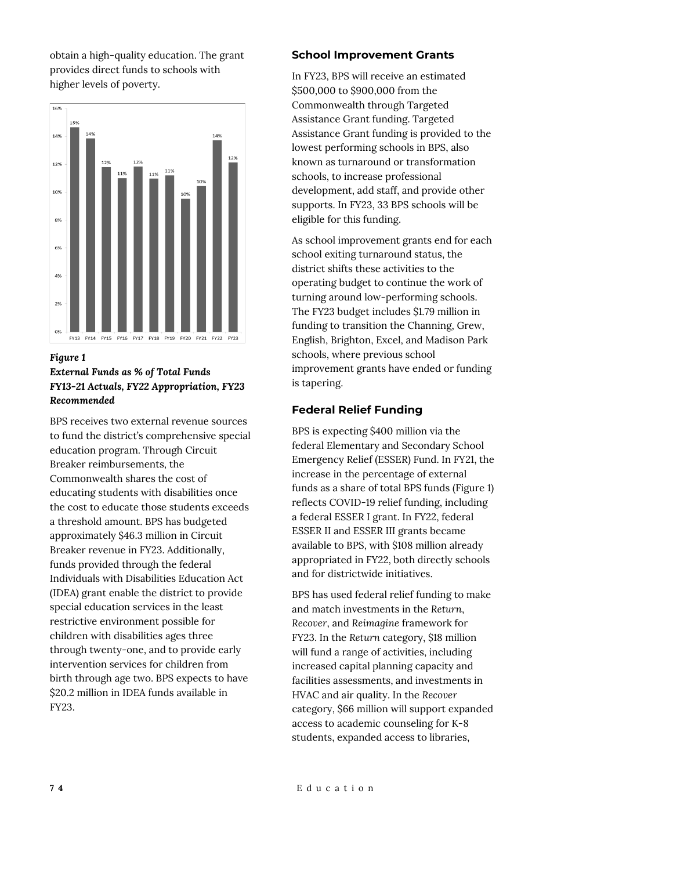obtain a high-quality education. The grant provides direct funds to schools with higher levels of poverty.



## *Figure 1 External Funds as % of Total Funds FY13-21 Actuals, FY22 Appropriation, FY23 Recommended*

BPS receives two external revenue sources to fund the district's comprehensive special education program. Through Circuit Breaker reimbursements, the Commonwealth shares the cost of educating students with disabilities once the cost to educate those students exceeds a threshold amount. BPS has budgeted approximately \$46.3 million in Circuit Breaker revenue in FY23. Additionally, funds provided through the federal Individuals with Disabilities Education Act (IDEA) grant enable the district to provide special education services in the least restrictive environment possible for children with disabilities ages three through twenty-one, and to provide early intervention services for children from birth through age two. BPS expects to have \$20.2 million in IDEA funds available in FY23.

## **School Improvement Grants**

In FY23, BPS will receive an estimated \$500,000 to \$900,000 from the Commonwealth through Targeted Assistance Grant funding. Targeted Assistance Grant funding is provided to the lowest performing schools in BPS, also known as turnaround or transformation schools, to increase professional development, add staff, and provide other supports. In FY23, 33 BPS schools will be eligible for this funding.

As school improvement grants end for each school exiting turnaround status, the district shifts these activities to the operating budget to continue the work of turning around low-performing schools. The FY23 budget includes \$1.79 million in funding to transition the Channing, Grew, English, Brighton, Excel, and Madison Park schools, where previous school improvement grants have ended or funding is tapering.

# **Federal Relief Funding**

BPS is expecting \$400 million via the federal Elementary and Secondary School Emergency Relief (ESSER) Fund. In FY21, the increase in the percentage of external funds as a share of total BPS funds (Figure 1) reflects COVID-19 relief funding, including a federal ESSER I grant. In FY22, federal ESSER II and ESSER III grants became available to BPS, with \$108 million already appropriated in FY22, both directly schools and for districtwide initiatives.

BPS has used federal relief funding to make and match investments in the *Return*, *Recover*, and *Reimagine* framework for FY23. In the *Return* category, \$18 million will fund a range of activities, including increased capital planning capacity and facilities assessments, and investments in HVAC and air quality. In the *Recover* category, \$66 million will support expanded access to academic counseling for K-8 students, expanded access to libraries,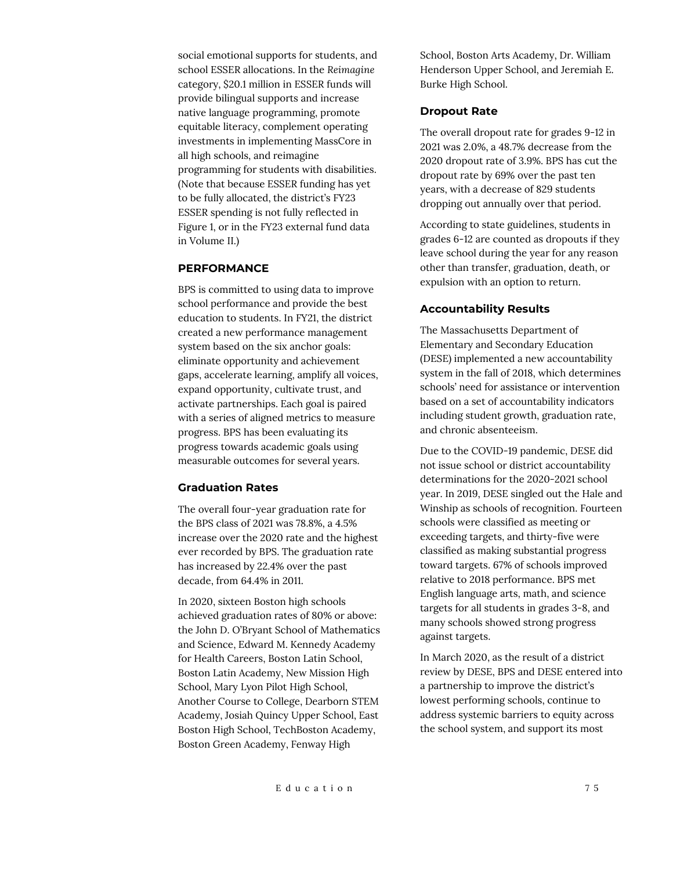social emotional supports for students, and school ESSER allocations. In the *Reimagine* category, \$20.1 million in ESSER funds will provide bilingual supports and increase native language programming, promote equitable literacy, complement operating investments in implementing MassCore in all high schools, and reimagine programming for students with disabilities. (Note that because ESSER funding has yet to be fully allocated, the district's FY23 ESSER spending is not fully reflected in Figure 1, or in the FY23 external fund data in Volume II.)

#### **PERFORMANCE**

BPS is committed to using data to improve school performance and provide the best education to students. In FY21, the district created a new performance management system based on the six anchor goals: eliminate opportunity and achievement gaps, accelerate learning, amplify all voices, expand opportunity, cultivate trust, and activate partnerships. Each goal is paired with a series of aligned metrics to measure progress. BPS has been evaluating its progress towards academic goals using measurable outcomes for several years.

#### **Graduation Rates**

The overall four-year graduation rate for the BPS class of 2021 was 78.8%, a 4.5% increase over the 2020 rate and the highest ever recorded by BPS. The graduation rate has increased by 22.4% over the past decade, from 64.4% in 2011.

In 2020, sixteen Boston high schools achieved graduation rates of 80% or above: the John D. O'Bryant School of Mathematics and Science, Edward M. Kennedy Academy for Health Careers, Boston Latin School, Boston Latin Academy, New Mission High School, Mary Lyon Pilot High School, Another Course to College, Dearborn STEM Academy, Josiah Quincy Upper School, East Boston High School, TechBoston Academy, Boston Green Academy, Fenway High

School, Boston Arts Academy, Dr. William Henderson Upper School, and Jeremiah E. Burke High School.

#### **Dropout Rate**

The overall dropout rate for grades 9-12 in 2021 was 2.0%, a 48.7% decrease from the 2020 dropout rate of 3.9%. BPS has cut the dropout rate by 69% over the past ten years, with a decrease of 829 students dropping out annually over that period.

According to state guidelines, students in grades 6-12 are counted as dropouts if they leave school during the year for any reason other than transfer, graduation, death, or expulsion with an option to return.

#### **Accountability Results**

The Massachusetts Department of Elementary and Secondary Education (DESE) implemented a new accountability system in the fall of 2018, which determines schools' need for assistance or intervention based on a set of accountability indicators including student growth, graduation rate, and chronic absenteeism.

Due to the COVID-19 pandemic, DESE did not issue school or district accountability determinations for the 2020-2021 school year. In 2019, DESE singled out the Hale and Winship as schools of recognition. Fourteen schools were classified as meeting or exceeding targets, and thirty-five were classified as making substantial progress toward targets. 67% of schools improved relative to 2018 performance. BPS met English language arts, math, and science targets for all students in grades 3-8, and many schools showed strong progress against targets.

In March 2020, as the result of a district review by DESE, BPS and DESE entered into a partnership to improve the district's lowest performing schools, continue to address systemic barriers to equity across the school system, and support its most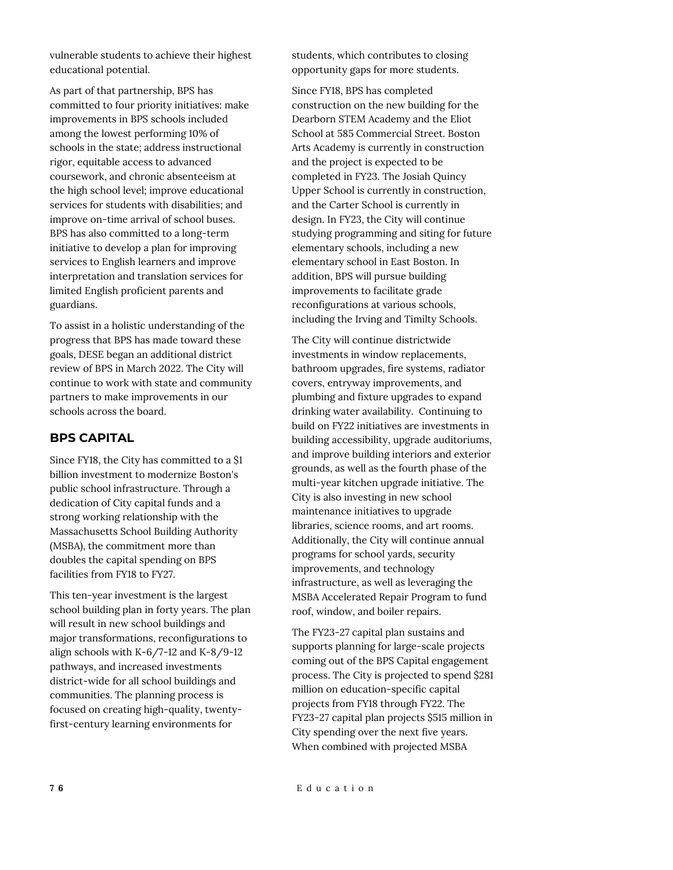vulnerable students to achieve their highest educational potential.

As part of that partnership, BPS has committed to four priority initiatives: make improvements in BPS schools included among the lowest performing 10% of schools in the state; address instructional rigor, equitable access to advanced coursework, and chronic absenteeism at the high school level; improve educational services for students with disabilities; and improve on-time arrival of school buses. BPS has also committed to a long-term initiative to develop a plan for improving services to English learners and improve interpretation and translation services for limited English proficient parents and guardians.

To assist in a holistic understanding of the progress that BPS has made toward these goals, DESE began an additional district review of BPS in March 2022. The City will continue to work with state and community partners to make improvements in our schools across the board.

# **BPS CAPITAL**

Since FY18, the City has committed to a \$1 billion investment to modernize Boston's public school infrastructure. Through a dedication of City capital funds and a strong working relationship with the Massachusetts School Building Authority (MSBA), the commitment more than doubles the capital spending on BPS facilities from FY18 to FY27.

This ten-year investment is the largest school building plan in forty years. The plan will result in new school buildings and major transformations, reconfigurations to align schools with K-6/7-12 and K-8/9-12 pathways, and increased investments district-wide for all school buildings and communities. The planning process is focused on creating high-quality, twentyfirst-century learning environments for

students, which contributes to closing opportunity gaps for more students.

Since FY18, BPS has completed construction on the new building for the Dearborn STEM Academy and the Eliot School at 585 Commercial Street. Boston Arts Academy is currently in construction and the project is expected to be completed in FY23. The Josiah Quincy Upper School is currently in construction, and the Carter School is currently in design. In FY23, the City will continue studying programming and siting for future elementary schools, including a new elementary school in East Boston. In addition, BPS will pursue building improvements to facilitate grade reconfigurations at various schools, including the Irving and Timilty Schools.

The City will continue districtwide investments in window replacements, bathroom upgrades, fire systems, radiator covers, entryway improvements, and plumbing and fixture upgrades to expand drinking water availability. Continuing to build on FY22 initiatives are investments in building accessibility, upgrade auditoriums, and improve building interiors and exterior grounds, as well as the fourth phase of the multi-year kitchen upgrade initiative. The City is also investing in new school maintenance initiatives to upgrade libraries, science rooms, and art rooms. Additionally, the City will continue annual programs for school yards, security improvements, and technology infrastructure, as well as leveraging the MSBA Accelerated Repair Program to fund roof, window, and boiler repairs.

The FY23-27 capital plan sustains and supports planning for large-scale projects coming out of the BPS Capital engagement process. The City is projected to spend \$281 million on education-specific capital projects from FY18 through FY22. The FY23-27 capital plan projects \$515 million in City spending over the next five years. When combined with projected MSBA